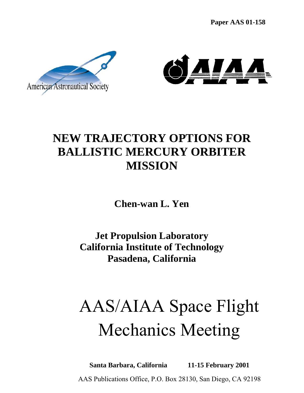**Paper AAS 01-158**





# **NEW TRAJECTORY OPTIONS FOR BALLISTIC MERCURY ORBITER MISSION**

**Chen-wan L. Yen** 

**Jet Propulsion Laboratory California Institute of Technology Pasadena, California** 

# AAS/AIAA Space Flight Mechanics Meeting

**Santa Barbara, California 11-15 February 2001**  AAS Publications Office, P.O. Box 28130, San Diego, CA 92198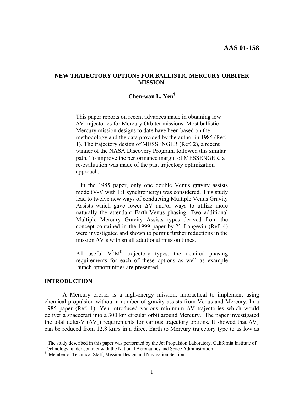#### **NEW TRAJECTORY OPTIONS FOR BALLISTIC MERCURY ORBITER MISSION'**

## **Chen-wan L. Yen†**

This paper reports on recent advances made in obtaining low ∆V trajectories for Mercury Orbiter missions. Most ballistic Mercury mission designs to date have been based on the methodology and the data provided by the author in 1985 (Ref. 1). The trajectory design of MESSENGER (Ref. 2), a recent winner of the NASA Discovery Program, followed this similar path. To improve the performance margin of MESSENGER, a re-evaluation was made of the past trajectory optimization approach.

 In the 1985 paper, only one double Venus gravity assists mode (V-V with 1:1 synchronicity) was considered. This study lead to twelve new ways of conducting Multiple Venus Gravity Assists which gave lower  $\Delta V$  and/or ways to utilize more naturally the attendant Earth-Venus phasing. Two additional Multiple Mercury Gravity Assists types derived from the concept contained in the 1999 paper by Y. Langevin (Ref. 4) were investigated and shown to permit further reductions in the mission  $\Delta V$ 's with small additional mission times.

All useful  $V^N M^K$  trajectory types, the detailed phasing requirements for each of these options as well as example launch opportunities are presented.

## **INTRODUCTION**

1

 A Mercury orbiter is a high-energy mission, impractical to implement using chemical propulsion without a number of gravity assists from Venus and Mercury. In a 1985 paper (Ref. 1), Yen introduced various minimum ∆V trajectories which would deliver a spacecraft into a 300 km circular orbit around Mercury. The paper investigated the total delta-V ( $\Delta V_T$ ) requirements for various trajectory options. It showed that  $\Delta V_T$ can be reduced from 12.8 km/s in a direct Earth to Mercury trajectory type to as low as

<sup>&#</sup>x27; The study described in this paper was performed by the Jet Propulsion Laboratory, California Institute of Technology, under contract with the National Aeronautics and Space Administration.

<sup>†</sup> Member of Technical Staff, Mission Design and Navigation Section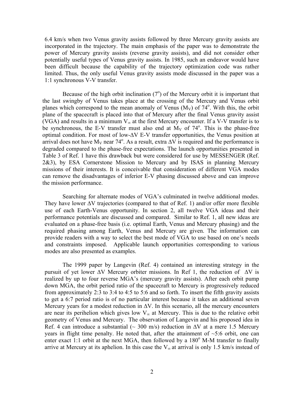6.4 km/s when two Venus gravity assists followed by three Mercury gravity assists are incorporated in the trajectory. The main emphasis of the paper was to demonstrate the power of Mercury gravity assists (reverse gravity assists), and did not consider other potentially useful types of Venus gravity assists. In 1985, such an endeavor would have been difficult because the capability of the trajectory optimization code was rather limited. Thus, the only useful Venus gravity assists mode discussed in the paper was a 1:1 synchronous V-V transfer.

Because of the high orbit inclination  $(7^{\circ})$  of the Mercury orbit it is important that the last swingby of Venus takes place at the crossing of the Mercury and Venus orbit planes which correspond to the mean anomaly of Venus  $(M_V)$  of  $74^\circ$ . With this, the orbit plane of the spacecraft is placed into that of Mercury after the final Venus gravity assist (VGA) and results in a minimum  $V_{\infty}$  at the first Mercury encounter. If a V-V transfer is to be synchronous, the E-V transfer must also end at  $M_V$  of  $74^\circ$ . This is the phase-free optimal condition. For most of low-∆V E-V transfer opportunities, the Venus position at arrival does not have M<sub>V</sub> near 74<sup>°</sup>. As a result, extra ∆V is required and the performance is degraded compared to the phase-free expectations. The launch opportunities presented in Table 3 of Ref. 1 have this drawback but were considered for use by MESSENGER (Ref. 2&3), by ESA Cornerstone Mission to Mercury and by ISAS in planning Mercury missions of their interests. It is conceivable that consideration of different VGA modes can remove the disadvantages of inferior E-V phasing discussed above and can improve the mission performance.

 Searching for alternate modes of VGA's culminated in twelve additional modes. They have lower  $\Delta V$  trajectories (compared to that of Ref. 1) and/or offer more flexible use of each Earth-Venus opportunity. In section 2, all twelve VGA ideas and their performance potentials are discussed and compared. Similar to Ref. 1, all new ideas are evaluated on a phase-free basis (i.e. optimal Earth, Venus and Mercury phasing) and the required phasing among Earth, Venus and Mercury are given. The information can provide readers with a way to select the best mode of VGA to use based on one's needs and constraints imposed. Applicable launch opportunities corresponding to various modes are also presented as examples.

 The 1999 paper by Langevin (Ref. 4) contained an interesting strategy in the pursuit of yet lower ∆V Mercury orbiter missions. In Ref 1, the reduction of ∆V is realized by up to four reverse MGA's (mercury gravity assists). After each orbit pump down MGA, the orbit period ratio of the spacecraft to Mercury is progressively reduced from approximately 2:3 to 3:4 to 4:5 to 5:6 and so forth. To insert the fifth gravity assists to get a 6:7 period ratio is of no particular interest because it takes an additional seven Mercury years for a modest reduction in  $\Delta V$ . In this scenario, all the mercury encounters are near its perihelion which gives low  $V_{\infty}$  at Mercury. This is due to the relative orbit geometry of Venus and Mercury. The observation of Langevin and his proposed idea in Ref. 4 can introduce a substantial ( $\sim 300$  m/s) reduction in  $\Delta V$  at a mere 1.5 Mercury years in flight time penalty. He noted that, after the attainment of  $\sim$ 5:6 orbit, one can enter exact 1:1 orbit at the next MGA, then followed by a  $180^\circ$  M-M transfer to finally arrive at Mercury at its aphelion. In this case the  $V_{\infty}$  at arrival is only 1.5 km/s instead of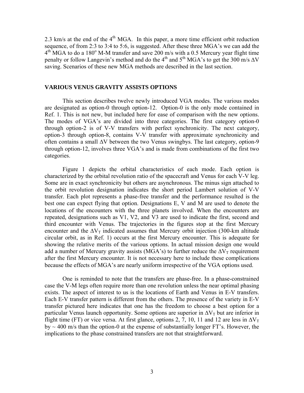2.3 km/s at the end of the  $4<sup>th</sup> MGA$ . In this paper, a more time efficient orbit reduction sequence, of from 2:3 to 3:4 to 5:6, is suggested. After these three MGA's we can add the  $4<sup>th</sup>$  MGA to do a 180<sup>o</sup> M-M transfer and save 200 m/s with a 0.5 Mercury year flight time penalty or follow Langevin's method and do the 4<sup>th</sup> and 5<sup>th</sup> MGA's to get the 300 m/s  $\Delta V$ saving. Scenarios of these new MGA methods are described in the last section.

#### **VARIOUS VENUS GRAVITY ASSISTS OPTIONS**

 This section describes twelve newly introduced VGA modes. The various modes are designated as option-0 through option-12. Option-0 is the only mode contained in Ref. 1. This is not new, but included here for ease of comparison with the new options. The modes of VGA's are divided into three categories. The first category option-0 through option-2 is of V-V transfers with perfect synchronicity. The next category, option-3 through option-8, contains V-V transfer with approximate synchronicity and often contains a small ∆V between the two Venus swingbys. The last category, option-9 through option-12, involves three VGA's and is made from combinations of the first two categories.

 Figure 1 depicts the orbital characteristics of each mode. Each option is characterized by the orbital revolution ratio of the spacecraft and Venus for each V-V leg. Some are in exact synchronicity but others are asynchronous. The minus sign attached to the orbit revolution designation indicates the short period Lambert solution of V-V transfer. Each plot represents a phase-free transfer and the performance resulted is the best one can expect flying that option. Designations E, V and M are used to denote the locations of the encounters with the three planets involved. When the encounters are repeated, designations such as V1, V2, and V3 are used to indicate the first, second and third encounter with Venus. The trajectories in the figures stop at the first Mercury encounter and the  $\Delta V_T$  indicated assumes that Mercury orbit injection (300-km altitude circular orbit, as in Ref. 1) occurs at the first Mercury encounter. This is adequate for showing the relative merits of the various options. In actual mission design one would add a number of Mercury gravity assists (MGA's) to further reduce the  $\Delta V_T$  requirement after the first Mercury encounter. It is not necessary here to include these complications because the effects of MGA's are nearly uniform irrespective of the VGA options used.

One is reminded to note that the transfers are phase-free. In a phase-constrained case the V-M legs often require more than one revolution unless the near optimal phasing exists. The aspect of interest to us is the locations of Earth and Venus in E-V transfers. Each E-V transfer pattern is different from the others. The presence of the variety in E-V transfer pictured here indicates that one has the freedom to choose a best option for a particular Venus launch opportunity. Some options are superior in  $\Delta V_T$  but are inferior in flight time (FT) or vice versa. At first glance, options 2, 7, 10, 11 and 12 are less in  $\Delta V_T$ by  $\sim$  400 m/s than the option-0 at the expense of substantially longer FT's. However, the implications to the phase constrained transfers are not that straightforward.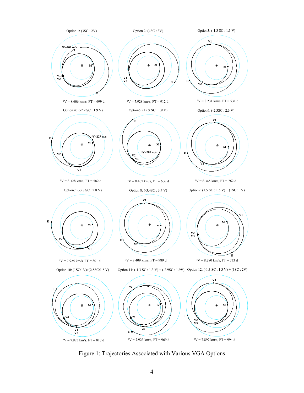

Figure 1: Trajectories Associated with Various VGA Options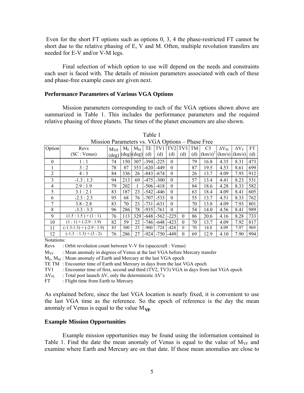Even for the short FT options such as options 0, 3, 4 the phase-restricted FT cannot be short due to the relative phasing of E, V and M. Often, multiple revolution transfers are needed for E-V and/or V-M legs.

Final selection of which option to use will depend on the needs and constraints each user is faced with. The details of mission parameters associated with each of these and phase-free example cases are given next.

#### **Performance Parameters of Various VGA Options**

 Mission parameters corresponding to each of the VGA options shown above are summarized in Table 1. This includes the performance parameters and the required relative phasing of three planets. The times of the planet encounters are also shown.

| Option         | Revs                      | $M_{VF}$       | $M_{E}$                    | $M_M$ | TE     | TV1    | TV <sub>2</sub> | TV3      | TM  | C <sub>3</sub> | $\Delta V_{\rm PL}$ | $\Delta V_T$ | FT  |
|----------------|---------------------------|----------------|----------------------------|-------|--------|--------|-----------------|----------|-----|----------------|---------------------|--------------|-----|
|                | (SC : Venus)              | $(\text{deg})$ | $(\text{deg})(\text{deg})$ |       | (d)    | (d)    | (d)             | (d)      | (d) | $(km/s)^2$     | (km/s)              | (km/s)       | (d) |
| $\theta$       | 1:1                       | 74             | 150                        | 307   | $-394$ | $-225$ | $\theta$        |          | 79  | 16.8           | 4.35                | 8.31         | 473 |
|                | 3:2                       | 78             | 87                         | 353   | $-620$ | $-449$ | $\theta$        |          | 87  | 19.5           | 4.53                | 8.61         | 699 |
| 2              | 4:3                       | 84             | 336                        | 26    | $-843$ | $-674$ | $\mathbf{0}$    |          | 26  | 13.7           | 4.09                | 7.93         | 912 |
| $\overline{3}$ | $-1.3:1.3$                | 94             | 213                        | 69    | $-475$ | $-300$ | $\theta$        |          | 57  | 13.4           | 4.41                | 8.23         | 531 |
| 4              | 2.9:1.9                   | 79             | 202                        |       | $-506$ | $-418$ | $\theta$        |          | 84  | 18.6           | 4.28                | 8.33         | 582 |
| 5              | 3.1:2.1                   | 83             | 187                        | 23    | $-542$ | $-446$ | $\theta$        |          | 63  | 18.4           | 4.09                | 8.41         | 605 |
| 6              | $-2.3:2.3$                | 95             | 68                         | 76    | $-707$ | $-533$ | $\theta$        |          | 55  | 13.7           | 4.51                | 8.33         | 762 |
| 7              | 3.8:2.8                   | 83             | 70                         | 23    | $-731$ | $-631$ | $\theta$        |          | 70  | 13.8           | 4.09                | 7.93         | 801 |
| 8              | $-3.3:3.3$                | 96             | 286                        | 78    | $-935$ | $-761$ | $\theta$        |          | 54  | 14.0           | 4.56                | 8.41         | 989 |
| 9              | $(1.5:1.5)+(1:1)$         | 76             | 113                        | 329   | $-648$ | $-562$ | $-225$          | $\Omega$ | 86  | 20.6           | 4.16                | 8.28         | 733 |
| 10             | $(1:1) + (-2.9:1.9)$      | 82             | 59                         | 22    | $-746$ | $-648$ | $-423$          | $\theta$ | 70  | 13.7           | 4.09                | 7.92         | 817 |
| 11             | $(-1.3:1.3) + (-2.9:1.9)$ | 83             | 300                        | 23    | $-900$ | $-724$ | $-424$          | $\theta$ | 70  | 14.8           | 4.09                | 7.97         | 969 |
| 12             | $(-1.3 : 1.3) + (3 : 2)$  | 76             | 286                        | 27    | $-924$ | $-750$ | -449            | $\Omega$ | 69  | 12.9           | 4.10                | 7.90         | 994 |

|                                                 | Table 1 |  |  |
|-------------------------------------------------|---------|--|--|
| Mission Parameters vs. VGA Options – Phase Free |         |  |  |

Notations:

Revs : Orbit revolution count between V-V for (spacecraft : Venus)

 $M_{VF}$  : Mean anomaly in degrees of Venus at the last VGA before Mercury transfer

 $M_{\rm E}$ ,  $M_{\rm M}$ : Mean anomaly of Earth and Mercury at the last VGA epoch

TE TM : Encounter time of Earth and Mercury in days from the last VGA epoch

TV1 : Encounter time of first, second and third (TV2, TV3) VGA in days from last VGA epoch

 $\Delta V_{PL}$  : Total post launch  $\Delta V$ , only the deterministic  $\Delta V$ 's

FT : Flight time from Earth to Mercury

As explained before, since the last VGA location is nearly fixed, it is convenient to use the last VGA time as the reference. So the epoch of reference is the day the mean anomaly of Venus is equal to the value  $M_{\rm V\!/\!\!\!F}$ 

#### **Example Mission Opportunities**

 Example mission opportunities may be found using the information contained in Table 1. Find the date the mean anomaly of Venus is equal to the value of  $M_{VF}$  and examine where Earth and Mercury are on that date. If these mean anomalies are close to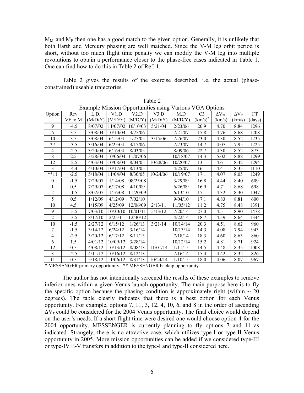$M_M$  and  $M_E$  then one has a good match to the given option. Generally, it is unlikely that both Earth and Mercury phasing are well matched. Since the V-M leg orbit period is short, without too much flight time penalty we can modify the V-M leg into multiple revolutions to obtain a performance closer to the phase-free cases indicated in Table 1. One can find how to do this in Table 2 of Ref. 1.

 Table 2 gives the results of the exercise described, i.e. the actual (phaseconstrained) useable trajectories.

| Example Mission Opportunities using Various VGA Options |         |         |          |          |          |          |                |                 |              |        |
|---------------------------------------------------------|---------|---------|----------|----------|----------|----------|----------------|-----------------|--------------|--------|
| Option                                                  | Rev     | L.D.    | V1.D     | V2.D     | V3.D     | MD       | C <sub>3</sub> | $\Delta V_{PL}$ | $\Delta V_T$ | FT     |
|                                                         | VF to M | (M/D/Y) | (M/D/Y)  | (M/D/Y)  | (M/D/Y)  | (M/D/Y)  | $(km/s)^2$     | (km/s)          | (km/s)       | (days) |
| 9                                                       | $-4.5$  | 8/07/02 | 11/07/02 | 10/10/03 | 5/21/04  | 2/23/06  | 20.9           | 4.70            | 8.84         | 1296   |
| 6                                                       | 3.5     | 3/08/04 | 10/10/04 | 3/25/06  |          | 7/21/07  | 15.8           | 4.76            | 8.68         | 1208   |
| 10                                                      | 3.5     | 3/08/04 | 6/15/04  | 1/25/05  | 3/15/06  | 7/26/07  | 23.0           | 4.30            | 8.52         | 1235   |
| $*7$                                                    | $-3.5$  | 3/16/04 | 6/25/04  | 3/17/06  |          | 7/23/07  | 14.7           | 4.07            | 7.95         | 1225   |
| 4                                                       | $-2.5$  | 3/20/04 | 6/16/04  | 8/03/05  |          | 8/09/06  | 22.7           | 4.30            | 8.52         | 873    |
| 8                                                       | 2.5     | 3/28/04 | 10/06/04 | 11/07/06 |          | 10/18/07 | 14.3           | 5.02            | 8.88         | 1299   |
| 12                                                      | $-2.5$  | 4/03/04 | 10/08/04 | 8/04/05  | 10/28/06 | 10/20/07 | 13.1           | 4.61            | 8.42         | 1294   |
| 3                                                       | $-4.4$  | 4/10/04 | 10/17/04 | 8/13/05  |          | 4/25/07  | 16.1           | 4.41            | 8.35         | 1110   |
| $***11$                                                 | $-2.5$  | 5/18/04 | 11/04/04 | 8/30/05  | 10/24/06 | 10/19/07 | 17.1           | 4.07            | 8.05         | 1249   |
| $\theta$                                                | $-1.5$  | 7/29/07 | 1/14/08  | 08/25/08 |          | 3/29/09  | 16.8           | 4.44            | 8.40         | 609    |
| 1                                                       | 0.5     | 7/29/07 | 6/17/08  | 4/10/09  |          | 6/26/09  | 16.9           | 4.71            | 8.68         | 698    |
| $\overline{2}$                                          | $-1.5$  | 8/02/07 | 1/16/08  | 11/20/09 |          | 6/13/10  | 17.1           | 4.32            | 8.30         | 1047   |
| 5                                                       | 0.5     | 1/12/09 | 4/12/09  | 7/02/10  |          | 9/04/10  | 17.1           | 4.83            | 8.81         | 600    |
| 10                                                      | 4.5     | 1/15/09 | 4/25/09  | 12/06/09 | 2/13/11  | 11/05/12 | 11.2           | 4.75            | 8.48         | 1391   |
| 9                                                       | $-5.5$  | 7/03/10 | 10/30/10 | 10/01/11 | 5/13/12  | 7/20/14  | 27.0           | 4.51            | 8.90         | 1478   |
| $\overline{2}$                                          | $-3.5$  | 8/17/10 | 2/25/11  | 12/30/12 |          | 4/22/14  | 18.7           | 4.59            | 8.64         | 1344   |
| 10                                                      | $-1.5$  | 2/27/12 | 6/15/12  | 1/26/13  | 3/21/14  | 10/14/14 | 20.3           | 4.51            | 8.62         | 960    |
| 7                                                       | $-1.5$  | 3/14/12 | 6/24/12  | 3/16/14  |          | 10/13/14 | 14.3           | 4.08            | 7.94         | 943    |
| $\overline{4}$                                          | $-2.5$  | 3/20/12 | 6/17/12  | 8/11/13  |          | 7/18/14  | 18.3           | 4.60            | 8.63         | 860    |
| 6                                                       | 1.5     | 4/01/12 | 10/09/12 | 3/28/14  |          | 10/12/14 | 15.2           | 4.81            | 8.71         | 924    |
| 12                                                      | 0.5     | 4/08/12 | 10/13/12 | 8/08/13  | 11/01/14 | 1/11/15  | 14.5           | 4.48            | 8.35         | 1008   |
| 3                                                       | $-2.5$  | 4/11/12 | 10/16/12 | 8/12/13  |          | 7/16/14  | 15.4           | 4.42            | 8.32         | 826    |
| 11                                                      | 0.5     | 5/18/12 | 11/06/12 | 8/31/13  | 10/24/14 | 1/10/15  | 18.0           | 4.06            | 8.07         | 967    |

Table 2

\* MESSENGER primary opportunity \*\* MESSENGER backup opportunity

The author has not intentionally screened the results of these examples to remove inferior ones within a given Venus launch opportunity. The main purpose here is to fly the specific option because the phasing condition is approximately right (within  $\sim 20$ ) degrees). The table clearly indicates that there is a best option for each Venus opportunity. For example, options 7, 11, 3, 12, 4, 10, 6, and 8 in the order of ascending  $\Delta V_T$  could be considered for the 2004 Venus opportunity. The final choice would depend on the user's needs. If a short flight time were desired one would choose option-4 for the 2004 opportunity. MESSENGER is currently planning to fly options 7 and 11 as indicated. Strangely, there is no attractive case, which utilizes type-I or type-II Venus opportunity in 2005. More mission opportunities can be added if we considered type-III or type-IV E-V transfers in addition to the type-I and type-II considered here.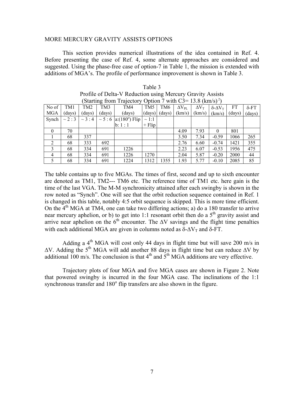#### MORE MERCURY GRAVITY ASSISTS OPTIONS

 This section provides numerical illustrations of the idea contained in Ref. 4. Before presenting the case of Ref. 4, some alternate approaches are considered and suggested. Using the phase-free case of option-7 in Table 1, the mission is extended with additions of MGA's. The profile of performance improvement is shown in Table 3.

| (Starting from Trajectory Option 7 with $C3 = 13.8$ (km/s) <sup>2</sup> ) |              |              |        |                              |                 |        |                 |              |                         |        |              |
|---------------------------------------------------------------------------|--------------|--------------|--------|------------------------------|-----------------|--------|-----------------|--------------|-------------------------|--------|--------------|
| No of                                                                     | TM1          | TM2          | TM3    | TM4                          | TM <sub>5</sub> | TM6    | $\Delta V_{PL}$ | $\Delta V_T$ | $\delta$ - $\Delta V_T$ | FT     | $\delta$ -FT |
| <b>MGA</b>                                                                | (days)       | (days)       | (days) | (days)                       | (days)          | (days) | (km/s)          | (km/s)       | (km/s)                  | (days) | (days)       |
| Synch                                                                     | $\sim$ 2 : 3 | $\sim$ 3 : 4 |        | $\sim$ 5 : 6   a:(180°) Flip | $\sim$ 1:1      |        |                 |              |                         |        |              |
|                                                                           |              |              |        | b: 1:1                       | $+$ Flip        |        |                 |              |                         |        |              |
| $\theta$                                                                  | 70           |              |        |                              |                 |        | 4.09            | 7.93         | $\Omega$                | 801    |              |
|                                                                           | 68           | 337          |        |                              |                 |        | 3.50            | 7.34         | $-0.59$                 | 1066   | 265          |
| 2                                                                         | 68           | 333          | 692    |                              |                 |        | 2.76            | 6.60         | $-0.74$                 | 1421   | 355          |
| $\mathbf{3}$                                                              | 68           | 334          | 691    | 1226                         |                 |        | 2.23            | 6.07         | $-0.53$                 | 1956   | 475          |
| $\overline{4}$                                                            | 68           | 334          | 691    | 1226                         | 1270            |        | 2.04            | 5.87         | $-0.20$                 | 2000   | 44           |
| 5                                                                         | 68           | 334          | 691    | 1224                         | 1312            | 1355   | 1.93            | 5.77         | $-0.10$                 | 2085   | 85           |

| Table 3                                                                   |
|---------------------------------------------------------------------------|
| Profile of Delta-V Reduction using Mercury Gravity Assists                |
| (Starting from Trajectory Option 7 with $C3 = 13.8$ (km/s) <sup>2</sup> ) |

The table contains up to five MGAs. The times of first, second and up to sixth encounter are denoted as TM1, TM2--- TM6 etc. The reference time of TM1 etc. here gain is the time of the last VGA. The M-M synchronicity attained after each swingby is shown in the row noted as "Synch". One will see that the orbit reduction sequence contained in Ref. 1 is changed in this table, notably 4:5 orbit sequence is skipped. This is more time efficient. On the  $4<sup>th</sup> MGA$  at TM4, one can take two differing actions; a) do a 180 transfer to arrive near mercury aphelion, or b) to get into 1:1 resonant orbit then do a  $5<sup>th</sup>$  gravity assist and arrive near aphelion on the  $6<sup>th</sup>$  encounter. The  $\Delta V$  savings and the flight time penalties with each additional MGA are given in columns noted as  $\delta$ - $\Delta V_T$  and  $\delta$ -FT.

Adding a  $4<sup>th</sup> MGA$  will cost only 44 days in flight time but will save 200 m/s in ∆V. Adding the 5th MGA will add another 88 days in flight time but can reduce ∆V by additional 100 m/s. The conclusion is that  $4<sup>th</sup>$  and  $5<sup>th</sup>$  MGA additions are very effective.

Trajectory plots of four MGA and five MGA cases are shown in Figure 2. Note that powered swingby is incurred in the four MGA case. The inclinations of the 1:1 synchronous transfer and  $180^\circ$  flip transfers are also shown in the figure.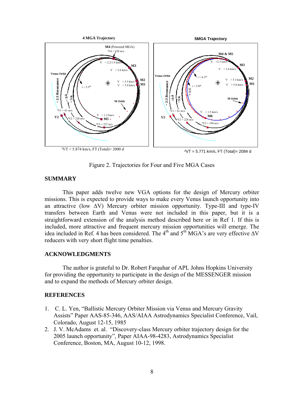

Figure 2. Trajectories for Four and Five MGA Cases

# **SUMMARY**

 This paper adds twelve new VGA options for the design of Mercury orbiter missions. This is expected to provide ways to make every Venus launch opportunity into an attractive (low ∆V) Mercury orbiter mission opportunity. Type-III and type-IV transfers between Earth and Venus were not included in this paper, but it is a straightforward extension of the analysis method described here or in Ref 1. If this is included, more attractive and frequent mercury mission opportunities will emerge. The idea included in Ref. 4 has been considered. The 4<sup>th</sup> and 5<sup>th</sup> MGA's are very effective  $\Delta V$ reducers with very short flight time penalties.

# **ACKNOWLEDGMENTS**

 The author is grateful to Dr. Robert Farquhar of APL Johns Hopkins University for providing the opportunity to participate in the design of the MESSENGER mission and to expand the methods of Mercury orbiter design.

# **REFERENCES**

- 1. C. L. Yen, "Ballistic Mercury Orbiter Mission via Venus and Mercury Gravity Assists" Paper AAS-85-346, AAS/AIAA Astrodynamics Specialist Conference, Vail, Colorado, August 12-15, 1985
- 2. J. V. McAdams et. al. "Discovery-class Mercury orbiter trajectory design for the 2005 launch opportunity", Paper AIAA-98-4283, Astrodynamics Specialist Conference, Boston, MA, August 10-12, 1998.